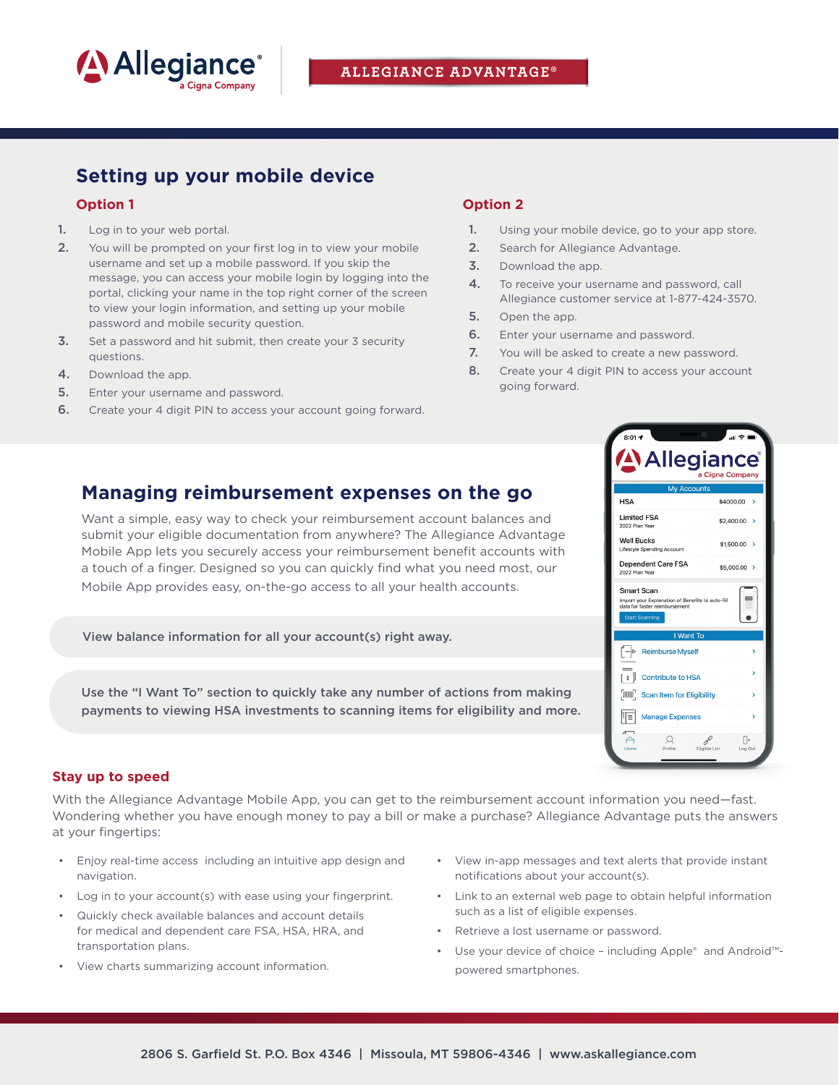

## **ALLEGIANCE ADVANTAGE®**

# **Setting up your mobile device**

### **Option 1**

- 1. Log in to your web portal.
- 2. You will be prompted on your first log in to view your mobile username and set up a mobile password. If you skip the message, you can access your mobile login by logging into the portal, clicking your name in the top right corner of the screen to view your login information, and setting up your mobile password and mobile security question.
- **3.** Set a password and hit submit, then create your 3 security questions.
- 4. Download the app.
- **5.** Enter your username and password.
- 6. Create your 4 digit PIN to access your account going forward.

## **Option 2**

- 1. Using your mobile device, go to your app store.
- 2. Search for Allegiance Advantage.
- 3. Download the app.
- 4. To receive your username and password, call Allegiance customer service at 1-877-424-3570.
- 5. Open the app.
- **6.** Enter your username and password.
- 7. You will be asked to create a new password.
- 8. Create your 4 digit PIN to access your account going forward.

**HSA** 

**Limited FSA** 

Smart Scan

**Start Scanning** 

厏

Dependent Care FSA

orrian t-OCarr<br>Import your Explanation of Benefits to auto<br>data for faster reimbursement

**Manage Expenses** 

 $\left[\begin{matrix} -\circ \\ \hline \end{matrix}\right]$  Reimburse Myself  $[s]$  Contribute to HSA FINIT Scan Item for Eligibility

I Want To

2022 Plan Ye **Well Bucks** 

**Allegiance** 

Cigna Company

 $$4000.00$  >

 $$2,400.00$  >

 $$1,500.00$  >

\$5,000.00 >

 $\qquad \qquad =$  $\bullet$ 

 $\Box$ 

## **Managing reimbursement expenses on the go**

Want a simple, easy way to check your reimbursement account balances and submit your eligible documentation from anywhere? The Allegiance Advantage Mobile App lets you securely access your reimbursement benefit accounts with a touch of a finger. Designed so you can quickly find what you need most, our Mobile App provides easy, on-the-go access to all your health accounts.

View balance information for all your account(s) right away.

Use the "I Want To" section to quickly take any number of actions from making payments to viewing HSA investments to scanning items for eligibility and more.

### **Stay up to speed**

With the Allegiance Advantage Mobile App, you can get to the reimbursement account information you need—fast. Wondering whether you have enough money to pay a bill or make a purchase? Allegiance Advantage puts the answers at your fingertips:

- Enjoy real-time access including an intuitive app design and navigation.
- Log in to your account(s) with ease using your fingerprint.
- Quickly check available balances and account details for medical and dependent care FSA, HSA, HRA, and transportation plans.
- View charts summarizing account information.
- View in-app messages and text alerts that provide instant notifications about your account(s).
- Link to an external web page to obtain helpful information such as a list of eligible expenses.
- Retrieve a lost username or password.
- Use your device of choice including Apple® and Android™ powered smartphones.